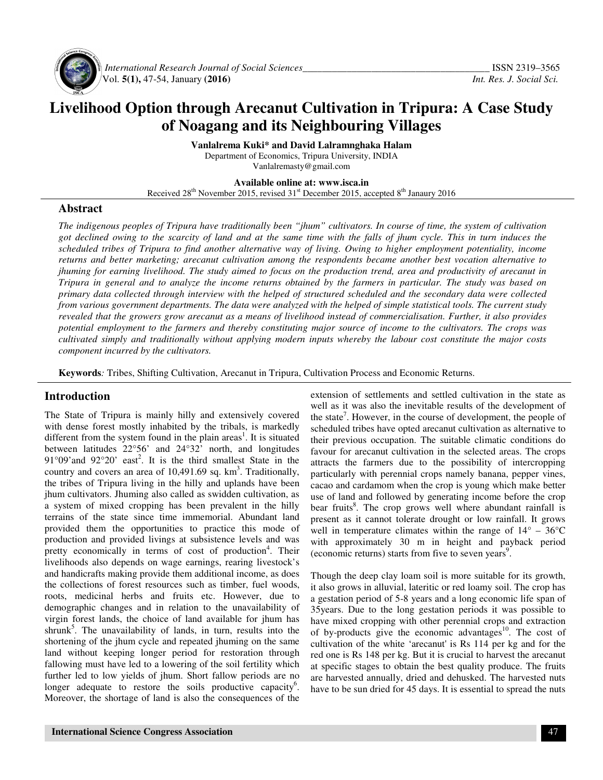

 *International Research Journal of Social Sciences\_\_\_\_\_\_\_\_\_\_\_\_\_\_\_\_\_\_\_\_\_\_\_\_\_\_\_\_\_\_\_\_\_\_\_\_\_\_* ISSN 2319–3565 Vol. **5(1),** 47-54, January **(2016)** *Int. Res. J. Social Sci.*

# **Livelihood Option through Arecanut Cultivation in Tripura: A Case Study of Noagang and its Neighbouring Villages**

**Vanlalrema Kuki\* and David Lalramnghaka Halam** Department of Economics, Tripura University, INDIA Vanlalremasty@gmail.com

**Available online at: www.isca.in** 

Received 28<sup>th</sup> November 2015, revised 31<sup>st</sup> December 2015, accepted 8<sup>th</sup> Janaury 2016

#### **Abstract**

*The indigenous peoples of Tripura have traditionally been "jhum" cultivators. In course of time, the system of cultivation got declined owing to the scarcity of land and at the same time with the falls of jhum cycle. This in turn induces the scheduled tribes of Tripura to find another alternative way of living. Owing to higher employment potentiality, income returns and better marketing; arecanut cultivation among the respondents became another best vocation alternative to jhuming for earning livelihood. The study aimed to focus on the production trend, area and productivity of arecanut in Tripura in general and to analyze the income returns obtained by the farmers in particular. The study was based on primary data collected through interview with the helped of structured scheduled and the secondary data were collected from various government departments. The data were analyzed with the helped of simple statistical tools. The current study revealed that the growers grow arecanut as a means of livelihood instead of commercialisation. Further, it also provides potential employment to the farmers and thereby constituting major source of income to the cultivators. The crops was cultivated simply and traditionally without applying modern inputs whereby the labour cost constitute the major costs component incurred by the cultivators.* 

**Keywords***:* Tribes, Shifting Cultivation, Arecanut in Tripura, Cultivation Process and Economic Returns.

# **Introduction**

The State of Tripura is mainly hilly and extensively covered with dense forest mostly inhabited by the tribals, is markedly different from the system found in the plain areas<sup>1</sup>. It is situated between latitudes 22°56' and 24°32' north, and longitudes 91 $^{\circ}$ 09'and 92 $^{\circ}$ 20' east<sup>2</sup>. It is the third smallest State in the country and covers an area of  $10,491.69$  sq.  $km<sup>3</sup>$ . Traditionally, the tribes of Tripura living in the hilly and uplands have been jhum cultivators. Jhuming also called as swidden cultivation, as a system of mixed cropping has been prevalent in the hilly terrains of the state since time immemorial. Abundant land provided them the opportunities to practice this mode of production and provided livings at subsistence levels and was pretty economically in terms of cost of production<sup>4</sup>. Their livelihoods also depends on wage earnings, rearing livestock's and handicrafts making provide them additional income, as does the collections of forest resources such as timber, fuel woods, roots, medicinal herbs and fruits etc. However, due to demographic changes and in relation to the unavailability of virgin forest lands, the choice of land available for jhum has shrunk<sup>5</sup>. The unavailability of lands, in turn, results into the shortening of the jhum cycle and repeated jhuming on the same land without keeping longer period for restoration through fallowing must have led to a lowering of the soil fertility which further led to low yields of jhum. Short fallow periods are no longer adequate to restore the soils productive capacity<sup>6</sup>. Moreover, the shortage of land is also the consequences of the

extension of settlements and settled cultivation in the state as well as it was also the inevitable results of the development of the state<sup>7</sup>. However, in the course of development, the people of scheduled tribes have opted arecanut cultivation as alternative to their previous occupation. The suitable climatic conditions do favour for arecanut cultivation in the selected areas. The crops attracts the farmers due to the possibility of intercropping particularly with perennial crops namely banana, pepper vines, cacao and cardamom when the crop is young which make better use of land and followed by generating income before the crop bear fruits<sup>8</sup>. The crop grows well where abundant rainfall is present as it cannot tolerate drought or low rainfall. It grows well in temperature climates within the range of  $14^{\circ}$  –  $36^{\circ}$ C with approximately 30 m in height and payback period (economic returns) starts from five to seven years<sup>9</sup>.

Though the deep clay loam soil is more suitable for its growth, it also grows in alluvial, lateritic or red loamy soil. The crop has a gestation period of 5-8 years and a long economic life span of 35years. Due to the long gestation periods it was possible to have mixed cropping with other perennial crops and extraction of by-products give the economic advantages $10$ . The cost of cultivation of the white 'arecanut' is Rs 114 per kg and for the red one is Rs 148 per kg. But it is crucial to harvest the arecanut at specific stages to obtain the best quality produce. The fruits are harvested annually, dried and dehusked. The harvested nuts have to be sun dried for 45 days. It is essential to spread the nuts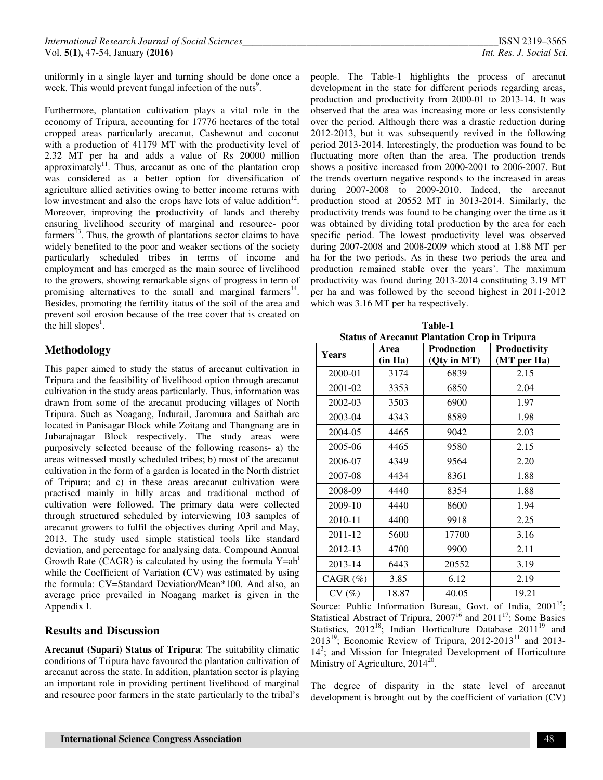uniformly in a single layer and turning should be done once a week. This would prevent fungal infection of the nuts<sup>9</sup>.

Furthermore, plantation cultivation plays a vital role in the economy of Tripura, accounting for 17776 hectares of the total cropped areas particularly arecanut, Cashewnut and coconut with a production of 41179 MT with the productivity level of 2.32 MT per ha and adds a value of Rs 20000 million approximately<sup>11</sup>. Thus, arecanut as one of the plantation crop was considered as a better option for diversification of agriculture allied activities owing to better income returns with low investment and also the crops have lots of value addition $12$ . Moreover, improving the productivity of lands and thereby ensuring livelihood security of marginal and resource- poor farmers $^{13}$ . Thus, the growth of plantations sector claims to have widely benefited to the poor and weaker sections of the society particularly scheduled tribes in terms of income and employment and has emerged as the main source of livelihood to the growers, showing remarkable signs of progress in term of promising alternatives to the small and marginal farmers<sup>14</sup>. Besides, promoting the fertility itatus of the soil of the area and prevent soil erosion because of the tree cover that is created on the hill slopes<sup>1</sup>.

# **Methodology**

This paper aimed to study the status of arecanut cultivation in Tripura and the feasibility of livelihood option through arecanut cultivation in the study areas particularly. Thus, information was drawn from some of the arecanut producing villages of North Tripura. Such as Noagang, Indurail, Jaromura and Saithah are located in Panisagar Block while Zoitang and Thangnang are in Jubarajnagar Block respectively. The study areas were purposively selected because of the following reasons- a) the areas witnessed mostly scheduled tribes; b) most of the arecanut cultivation in the form of a garden is located in the North district of Tripura; and c) in these areas arecanut cultivation were practised mainly in hilly areas and traditional method of cultivation were followed. The primary data were collected through structured scheduled by interviewing 103 samples of arecanut growers to fulfil the objectives during April and May, 2013. The study used simple statistical tools like standard deviation, and percentage for analysing data. Compound Annual Growth Rate (CAGR) is calculated by using the formula  $Y=ab^t$ while the Coefficient of Variation (CV) was estimated by using the formula: CV=Standard Deviation/Mean\*100. And also, an average price prevailed in Noagang market is given in the Appendix I.

# **Results and Discussion**

**Arecanut (Supari) Status of Tripura**: The suitability climatic conditions of Tripura have favoured the plantation cultivation of arecanut across the state. In addition, plantation sector is playing an important role in providing pertinent livelihood of marginal and resource poor farmers in the state particularly to the tribal's

people. The Table-1 highlights the process of arecanut development in the state for different periods regarding areas, production and productivity from 2000-01 to 2013-14. It was observed that the area was increasing more or less consistently over the period. Although there was a drastic reduction during 2012-2013, but it was subsequently revived in the following period 2013-2014. Interestingly, the production was found to be fluctuating more often than the area. The production trends shows a positive increased from 2000-2001 to 2006-2007. But the trends overturn negative responds to the increased in areas during 2007-2008 to 2009-2010. Indeed, the arecanut production stood at 20552 MT in 3013-2014. Similarly, the productivity trends was found to be changing over the time as it was obtained by dividing total production by the area for each specific period. The lowest productivity level was observed during 2007-2008 and 2008-2009 which stood at 1.88 MT per ha for the two periods. As in these two periods the area and production remained stable over the years'. The maximum productivity was found during 2013-2014 constituting 3.19 MT per ha and was followed by the second highest in 2011-2012 which was 3.16 MT per ha respectively.

**Table-1 Status of Arecanut Plantation Crop in Tripura** 

| <b>Years</b>  | Area    | <b>Production</b> | <b>Productivity</b> |
|---------------|---------|-------------------|---------------------|
|               | (in Ha) | (Qty in MT)       | (MT per Ha)         |
| 2000-01       | 3174    | 6839              | 2.15                |
| 2001-02       | 3353    | 6850              | 2.04                |
| 2002-03       | 3503    | 6900              | 1.97                |
| 2003-04       | 4343    | 8589              | 1.98                |
| 2004-05       | 4465    | 9042              | 2.03                |
| 2005-06       | 4465    | 9580              | 2.15                |
| 2006-07       | 4349    | 9564              | 2.20                |
| 2007-08       | 4434    | 8361              | 1.88                |
| 2008-09       | 4440    | 8354              | 1.88                |
| 2009-10       | 4440    | 8600              | 1.94                |
| 2010-11       | 4400    | 9918              | 2.25                |
| 2011-12       | 5600    | 17700             | 3.16                |
| 2012-13       | 4700    | 9900              | 2.11                |
| 2013-14       | 6443    | 20552             | 3.19                |
| $CAGR$ $(\%)$ | 3.85    | 6.12              | 2.19                |
| CV(%)         | 18.87   | 40.05             | 19.21               |

Source: Public Information Bureau, Govt. of India, 2001<sup>15</sup>; Statistical Abstract of Tripura,  $2007^{16}$  and  $2011^{17}$ ; Some Basics Statistics,  $2012^{18}$ ; Indian Horticulture Database  $2011^{19}$  and 2013<sup>19</sup>; Economic Review of Tripura, 2012-2013<sup>11</sup> and 2013-14<sup>3</sup>; and Mission for Integrated Development of Horticulture Ministry of Agriculture,  $2014^{20}$ .

The degree of disparity in the state level of arecanut development is brought out by the coefficient of variation (CV)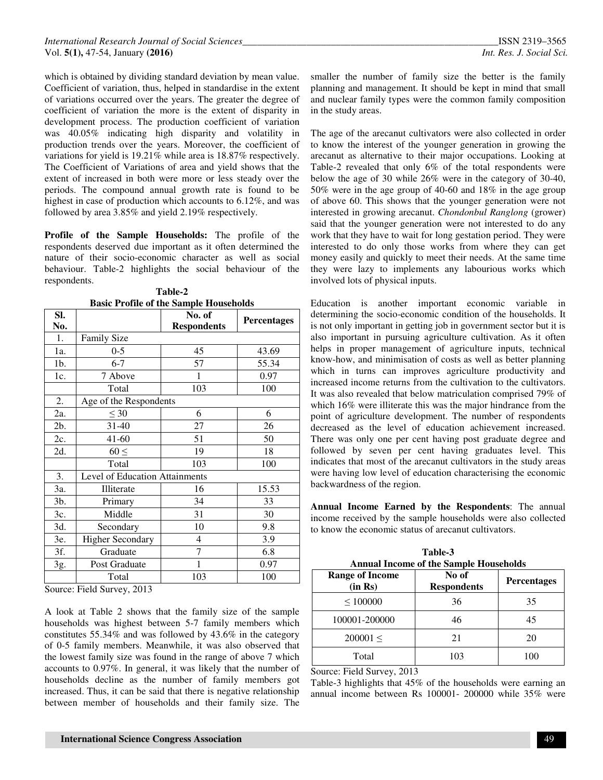which is obtained by dividing standard deviation by mean value. Coefficient of variation, thus, helped in standardise in the extent of variations occurred over the years. The greater the degree of coefficient of variation the more is the extent of disparity in development process. The production coefficient of variation was 40.05% indicating high disparity and volatility in production trends over the years. Moreover, the coefficient of variations for yield is 19.21% while area is 18.87% respectively. The Coefficient of Variations of area and yield shows that the extent of increased in both were more or less steady over the periods. The compound annual growth rate is found to be highest in case of production which accounts to 6.12%, and was followed by area 3.85% and yield 2.19% respectively.

**Profile of the Sample Households:** The profile of the respondents deserved due important as it often determined the nature of their socio-economic character as well as social behaviour. Table-2 highlights the social behaviour of the respondents.

| SI.    |                                | Dasie I Tome of the Sample Households<br>No. of | <b>Percentages</b> |
|--------|--------------------------------|-------------------------------------------------|--------------------|
| No.    |                                | <b>Respondents</b>                              |                    |
| 1.     | <b>Family Size</b>             |                                                 |                    |
| 1a.    | $0 - 5$                        | 45                                              | 43.69              |
| 1b.    | $6 - 7$                        | 57                                              | 55.34              |
| 1c.    | 7 Above                        | 1                                               | 0.97               |
|        | Total                          | 103                                             | 100                |
| 2.     | Age of the Respondents         |                                                 |                    |
| 2a.    | $\leq 30$                      | 6                                               | 6                  |
| $2b$ . | $31 - 40$                      | 27                                              | 26                 |
| 2c.    | $41 - 60$                      | 51                                              | 50                 |
| 2d.    | $60 \leq$                      | 19                                              | 18                 |
|        | Total                          | 103                                             | 100                |
| 3.     | Level of Education Attainments |                                                 |                    |
| 3a.    | Illiterate                     | 16                                              | 15.53              |
| 3b.    | Primary                        | 34                                              | 33                 |
| 3c.    | Middle                         | 31                                              | 30                 |
| 3d.    | Secondary                      | 10                                              | 9.8                |
| 3e.    | <b>Higher Secondary</b>        | 4                                               | 3.9                |
| 3f.    | Graduate                       | 7                                               | 6.8                |
| 3g.    | Post Graduate                  | 1                                               | 0.97               |
|        | Total                          | 103                                             | 100                |

**Table-2 Basic Profile of the Sample Households** 

Source: Field Survey, 2013

A look at Table 2 shows that the family size of the sample households was highest between 5-7 family members which constitutes 55.34% and was followed by 43.6% in the category of 0-5 family members. Meanwhile, it was also observed that the lowest family size was found in the range of above 7 which accounts to 0.97%. In general, it was likely that the number of households decline as the number of family members got increased. Thus, it can be said that there is negative relationship between member of households and their family size. The

smaller the number of family size the better is the family planning and management. It should be kept in mind that small and nuclear family types were the common family composition in the study areas.

The age of the arecanut cultivators were also collected in order to know the interest of the younger generation in growing the arecanut as alternative to their major occupations. Looking at Table-2 revealed that only 6% of the total respondents were below the age of 30 while 26% were in the category of 30-40, 50% were in the age group of 40-60 and 18% in the age group of above 60. This shows that the younger generation were not interested in growing arecanut. *Chondonbul Ranglong* (grower) said that the younger generation were not interested to do any work that they have to wait for long gestation period. They were interested to do only those works from where they can get money easily and quickly to meet their needs. At the same time they were lazy to implements any labourious works which involved lots of physical inputs.

Education is another important economic variable in determining the socio-economic condition of the households. It is not only important in getting job in government sector but it is also important in pursuing agriculture cultivation. As it often helps in proper management of agriculture inputs, technical know-how, and minimisation of costs as well as better planning which in turns can improves agriculture productivity and increased income returns from the cultivation to the cultivators. It was also revealed that below matriculation comprised 79% of which 16% were illiterate this was the major hindrance from the point of agriculture development. The number of respondents decreased as the level of education achievement increased. There was only one per cent having post graduate degree and followed by seven per cent having graduates level. This indicates that most of the arecanut cultivators in the study areas were having low level of education characterising the economic backwardness of the region.

**Annual Income Earned by the Respondents**: The annual income received by the sample households were also collected to know the economic status of arecanut cultivators.

**Table-3 Annual Income of the Sample Households** 

|                                   | Allingar Incomic of the Bampic Households |                    |
|-----------------------------------|-------------------------------------------|--------------------|
| <b>Range of Income</b><br>(in Rs) | No of<br><b>Respondents</b>               | <b>Percentages</b> |
| $\leq 100000$                     | 36                                        | 35                 |
| 100001-200000                     | 46                                        | 45                 |
| $200001 \leq$                     | 21                                        | 20                 |
| Total                             | 103                                       | 100                |

Source: Field Survey, 2013

Table-3 highlights that 45% of the households were earning an annual income between Rs 100001- 200000 while 35% were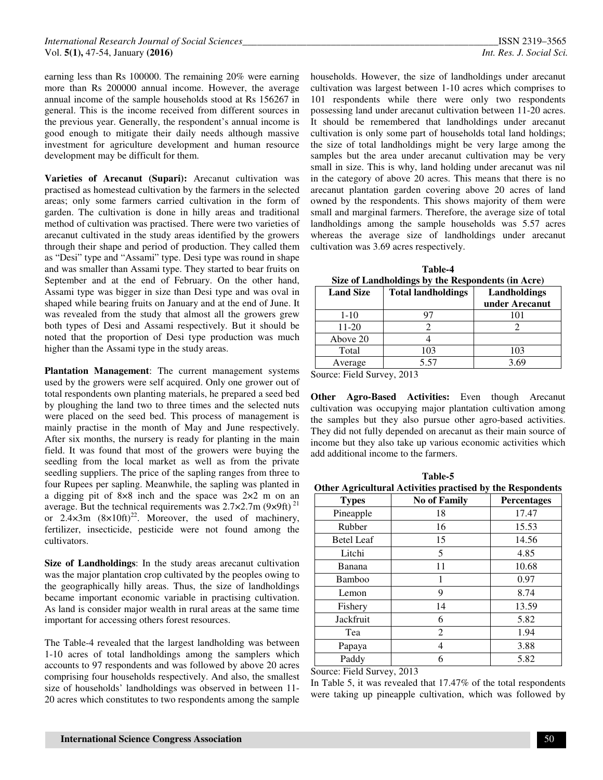earning less than Rs 100000. The remaining 20% were earning more than Rs 200000 annual income. However, the average annual income of the sample households stood at Rs 156267 in general. This is the income received from different sources in the previous year. Generally, the respondent's annual income is good enough to mitigate their daily needs although massive investment for agriculture development and human resource development may be difficult for them.

**Varieties of Arecanut (Supari):** Arecanut cultivation was practised as homestead cultivation by the farmers in the selected areas; only some farmers carried cultivation in the form of garden. The cultivation is done in hilly areas and traditional method of cultivation was practised. There were two varieties of arecanut cultivated in the study areas identified by the growers through their shape and period of production. They called them as "Desi" type and "Assami" type. Desi type was round in shape and was smaller than Assami type. They started to bear fruits on September and at the end of February. On the other hand, Assami type was bigger in size than Desi type and was oval in shaped while bearing fruits on January and at the end of June. It was revealed from the study that almost all the growers grew both types of Desi and Assami respectively. But it should be noted that the proportion of Desi type production was much higher than the Assami type in the study areas.

**Plantation Management**: The current management systems used by the growers were self acquired. Only one grower out of total respondents own planting materials, he prepared a seed bed by ploughing the land two to three times and the selected nuts were placed on the seed bed. This process of management is mainly practise in the month of May and June respectively. After six months, the nursery is ready for planting in the main field. It was found that most of the growers were buying the seedling from the local market as well as from the private seedling suppliers. The price of the sapling ranges from three to four Rupees per sapling. Meanwhile, the sapling was planted in a digging pit of 8×8 inch and the space was 2×2 m on an average. But the technical requirements was  $2.7 \times 2.7$ m (9×9ft)<sup>21</sup> or  $2.4 \times 3m$   $(8 \times 10 \text{ft})^{22}$ . Moreover, the used of machinery, fertilizer, insecticide, pesticide were not found among the cultivators.

**Size of Landholdings**: In the study areas arecanut cultivation was the major plantation crop cultivated by the peoples owing to the geographically hilly areas. Thus, the size of landholdings became important economic variable in practising cultivation. As land is consider major wealth in rural areas at the same time important for accessing others forest resources.

The Table-4 revealed that the largest landholding was between 1-10 acres of total landholdings among the samplers which accounts to 97 respondents and was followed by above 20 acres comprising four households respectively. And also, the smallest size of households' landholdings was observed in between 11- 20 acres which constitutes to two respondents among the sample

households. However, the size of landholdings under arecanut cultivation was largest between 1-10 acres which comprises to 101 respondents while there were only two respondents possessing land under arecanut cultivation between 11-20 acres. It should be remembered that landholdings under arecanut cultivation is only some part of households total land holdings; the size of total landholdings might be very large among the samples but the area under arecanut cultivation may be very small in size. This is why, land holding under arecanut was nil in the category of above 20 acres. This means that there is no arecanut plantation garden covering above 20 acres of land owned by the respondents. This shows majority of them were small and marginal farmers. Therefore, the average size of total landholdings among the sample households was 5.57 acres whereas the average size of landholdings under arecanut cultivation was 3.69 acres respectively.

**Table-4 Size of Landholdings by the Respondents (in Acre)** 

| <b>Land Size</b> | <b>Total landholdings</b> | Landholdings<br>under Arecanut |
|------------------|---------------------------|--------------------------------|
| $1 - 10$         |                           |                                |
| 11-20            |                           |                                |
| Above 20         |                           |                                |
| Total            | 103                       | 103                            |
| Average          | 5.57                      | 3 69                           |

Source: Field Survey, 2013

**Other Agro-Based Activities:** Even though Arecanut cultivation was occupying major plantation cultivation among the samples but they also pursue other agro-based activities. They did not fully depended on arecanut as their main source of income but they also take up various economic activities which add additional income to the farmers.

**Table-5 Other Agricultural Activities practised by the Respondents** 

| $\sigma$ and $\alpha$ in a measurement of $\sigma$ is a measurement of $\sigma$ |                     |                    |  |  |
|---------------------------------------------------------------------------------|---------------------|--------------------|--|--|
| <b>Types</b>                                                                    | <b>No of Family</b> | <b>Percentages</b> |  |  |
| Pineapple                                                                       | 18                  | 17.47              |  |  |
| Rubber                                                                          | 16                  | 15.53              |  |  |
| <b>Betel Leaf</b>                                                               | 15                  | 14.56              |  |  |
| Litchi                                                                          | 5                   | 4.85               |  |  |
| Banana                                                                          | 11                  | 10.68              |  |  |
| Bamboo                                                                          | 1                   | 0.97               |  |  |
| Lemon                                                                           | 9                   | 8.74               |  |  |
| Fishery                                                                         | 14                  | 13.59              |  |  |
| Jackfruit                                                                       | 6                   | 5.82               |  |  |
| Tea                                                                             | 2                   | 1.94               |  |  |
| Papaya                                                                          | 4                   | 3.88               |  |  |
| Paddy                                                                           | 6                   | 5.82               |  |  |

Source: Field Survey, 2013

In Table 5, it was revealed that 17.47% of the total respondents were taking up pineapple cultivation, which was followed by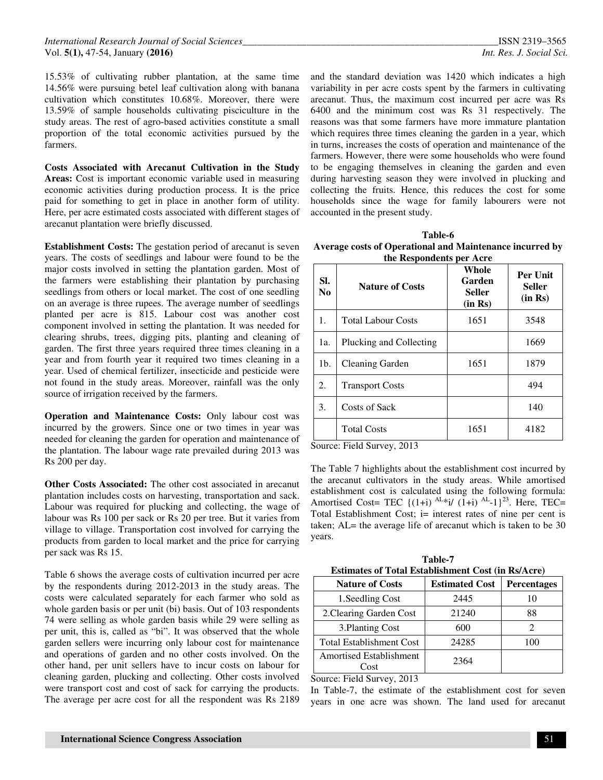15.53% of cultivating rubber plantation, at the same time 14.56% were pursuing betel leaf cultivation along with banana cultivation which constitutes 10.68%. Moreover, there were 13.59% of sample households cultivating pisciculture in the study areas. The rest of agro-based activities constitute a small proportion of the total economic activities pursued by the farmers.

**Costs Associated with Arecanut Cultivation in the Study Areas:** Cost is important economic variable used in measuring economic activities during production process. It is the price paid for something to get in place in another form of utility. Here, per acre estimated costs associated with different stages of arecanut plantation were briefly discussed.

**Establishment Costs:** The gestation period of arecanut is seven years. The costs of seedlings and labour were found to be the major costs involved in setting the plantation garden. Most of the farmers were establishing their plantation by purchasing seedlings from others or local market. The cost of one seedling on an average is three rupees. The average number of seedlings planted per acre is 815. Labour cost was another cost component involved in setting the plantation. It was needed for clearing shrubs, trees, digging pits, planting and cleaning of garden. The first three years required three times cleaning in a year and from fourth year it required two times cleaning in a year. Used of chemical fertilizer, insecticide and pesticide were not found in the study areas. Moreover, rainfall was the only source of irrigation received by the farmers.

**Operation and Maintenance Costs:** Only labour cost was incurred by the growers. Since one or two times in year was needed for cleaning the garden for operation and maintenance of the plantation. The labour wage rate prevailed during 2013 was Rs 200 per day.

**Other Costs Associated:** The other cost associated in arecanut plantation includes costs on harvesting, transportation and sack. Labour was required for plucking and collecting, the wage of labour was Rs 100 per sack or Rs 20 per tree. But it varies from village to village. Transportation cost involved for carrying the products from garden to local market and the price for carrying per sack was Rs 15.

Table 6 shows the average costs of cultivation incurred per acre by the respondents during 2012-2013 in the study areas. The costs were calculated separately for each farmer who sold as whole garden basis or per unit (bi) basis. Out of 103 respondents 74 were selling as whole garden basis while 29 were selling as per unit, this is, called as "bi". It was observed that the whole garden sellers were incurring only labour cost for maintenance and operations of garden and no other costs involved. On the other hand, per unit sellers have to incur costs on labour for cleaning garden, plucking and collecting. Other costs involved were transport cost and cost of sack for carrying the products. The average per acre cost for all the respondent was Rs 2189

and the standard deviation was 1420 which indicates a high variability in per acre costs spent by the farmers in cultivating arecanut. Thus, the maximum cost incurred per acre was Rs 6400 and the minimum cost was Rs 31 respectively. The reasons was that some farmers have more immature plantation which requires three times cleaning the garden in a year, which in turns, increases the costs of operation and maintenance of the farmers. However, there were some households who were found to be engaging themselves in cleaning the garden and even during harvesting season they were involved in plucking and collecting the fruits. Hence, this reduces the cost for some households since the wage for family labourers were not accounted in the present study.

| Table-6                                                  |
|----------------------------------------------------------|
| Average costs of Operational and Maintenance incurred by |
| the Respondents per Acre                                 |

| SI.<br>N <sub>0</sub> | <b>Nature of Costs</b>    | Whole<br>Garden<br>Seller<br>(in Rs) | <b>Per Unit</b><br><b>Seller</b><br>(in Rs) |
|-----------------------|---------------------------|--------------------------------------|---------------------------------------------|
| 1.                    | <b>Total Labour Costs</b> | 1651                                 | 3548                                        |
| 1a.                   | Plucking and Collecting   |                                      | 1669                                        |
| 1 <sub>b</sub>        | Cleaning Garden           | 1651                                 | 1879                                        |
| 2.                    | <b>Transport Costs</b>    |                                      | 494                                         |
| 3.                    | Costs of Sack             |                                      | 140                                         |
|                       | <b>Total Costs</b>        | 1651                                 | 4182                                        |

Source: Field Survey, 2013

The Table 7 highlights about the establishment cost incurred by the arecanut cultivators in the study areas. While amortised establishment cost is calculated using the following formula: Amortised Cost= TEC  $\{(1+i)\stackrel{\text{AL}}{=}i\{(1+i)\stackrel{\text{AL}}{=}1\}^{23}$ . Here, TEC= Total Establishment Cost; i= interest rates of nine per cent is taken; AL= the average life of arecanut which is taken to be 30 years.

| Table-7<br><b>Estimates of Total Establishment Cost (in Rs/Acre)</b> |                    |  |  |
|----------------------------------------------------------------------|--------------------|--|--|
| <b>Estimated Cost</b>                                                | <b>Percentages</b> |  |  |
| 2445                                                                 | 10                 |  |  |
| 21240                                                                | 88                 |  |  |
| 600                                                                  | $\mathfrak{D}$     |  |  |
| 24285                                                                | 100                |  |  |
| 2364                                                                 |                    |  |  |
|                                                                      |                    |  |  |

Source: Field Survey, 2013

In Table-7, the estimate of the establishment cost for seven years in one acre was shown. The land used for arecanut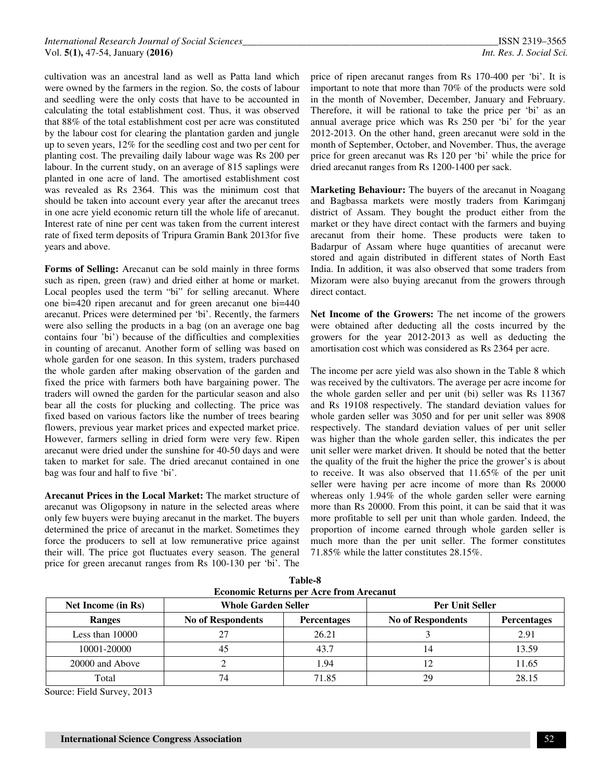cultivation was an ancestral land as well as Patta land which were owned by the farmers in the region. So, the costs of labour and seedling were the only costs that have to be accounted in calculating the total establishment cost. Thus, it was observed that 88% of the total establishment cost per acre was constituted by the labour cost for clearing the plantation garden and jungle up to seven years, 12% for the seedling cost and two per cent for planting cost. The prevailing daily labour wage was Rs 200 per labour. In the current study, on an average of 815 saplings were planted in one acre of land. The amortised establishment cost was revealed as Rs 2364. This was the minimum cost that should be taken into account every year after the arecanut trees in one acre yield economic return till the whole life of arecanut. Interest rate of nine per cent was taken from the current interest rate of fixed term deposits of Tripura Gramin Bank 2013for five years and above.

**Forms of Selling:** Arecanut can be sold mainly in three forms such as ripen, green (raw) and dried either at home or market. Local peoples used the term "bi" for selling arecanut. Where one bi=420 ripen arecanut and for green arecanut one bi=440 arecanut. Prices were determined per 'bi'. Recently, the farmers were also selling the products in a bag (on an average one bag contains four 'bi') because of the difficulties and complexities in counting of arecanut. Another form of selling was based on whole garden for one season. In this system, traders purchased the whole garden after making observation of the garden and fixed the price with farmers both have bargaining power. The traders will owned the garden for the particular season and also bear all the costs for plucking and collecting. The price was fixed based on various factors like the number of trees bearing flowers, previous year market prices and expected market price. However, farmers selling in dried form were very few. Ripen arecanut were dried under the sunshine for 40-50 days and were taken to market for sale. The dried arecanut contained in one bag was four and half to five 'bi'.

**Arecanut Prices in the Local Market:** The market structure of arecanut was Oligopsony in nature in the selected areas where only few buyers were buying arecanut in the market. The buyers determined the price of arecanut in the market. Sometimes they force the producers to sell at low remunerative price against their will. The price got fluctuates every season. The general price for green arecanut ranges from Rs 100-130 per 'bi'. The

price of ripen arecanut ranges from Rs 170-400 per 'bi'. It is important to note that more than 70% of the products were sold in the month of November, December, January and February. Therefore, it will be rational to take the price per 'bi' as an annual average price which was Rs 250 per 'bi' for the year 2012-2013. On the other hand, green arecanut were sold in the month of September, October, and November. Thus, the average price for green arecanut was Rs 120 per 'bi' while the price for dried arecanut ranges from Rs 1200-1400 per sack.

**Marketing Behaviour:** The buyers of the arecanut in Noagang and Bagbassa markets were mostly traders from Karimganj district of Assam. They bought the product either from the market or they have direct contact with the farmers and buying arecanut from their home. These products were taken to Badarpur of Assam where huge quantities of arecanut were stored and again distributed in different states of North East India. In addition, it was also observed that some traders from Mizoram were also buying arecanut from the growers through direct contact.

**Net Income of the Growers:** The net income of the growers were obtained after deducting all the costs incurred by the growers for the year 2012-2013 as well as deducting the amortisation cost which was considered as Rs 2364 per acre.

The income per acre yield was also shown in the Table 8 which was received by the cultivators. The average per acre income for the whole garden seller and per unit (bi) seller was Rs 11367 and Rs 19108 respectively. The standard deviation values for whole garden seller was 3050 and for per unit seller was 8908 respectively. The standard deviation values of per unit seller was higher than the whole garden seller, this indicates the per unit seller were market driven. It should be noted that the better the quality of the fruit the higher the price the grower's is about to receive. It was also observed that 11.65% of the per unit seller were having per acre income of more than Rs 20000 whereas only 1.94% of the whole garden seller were earning more than Rs 20000. From this point, it can be said that it was more profitable to sell per unit than whole garden. Indeed, the proportion of income earned through whole garden seller is much more than the per unit seller. The former constitutes 71.85% while the latter constitutes 28.15%.

| Net Income (in Rs) | <b>Whole Garden Seller</b> |                    | Per Unit Seller          |                    |
|--------------------|----------------------------|--------------------|--------------------------|--------------------|
| Ranges             | <b>No of Respondents</b>   | <b>Percentages</b> | <b>No of Respondents</b> | <b>Percentages</b> |
| Less than $10000$  |                            | 26.21              |                          | 2.91               |
| 10001-20000        |                            | 43.7               |                          | 13.59              |
| 20000 and Above    |                            | 1.94               |                          | 11.65              |
| Total              | 74                         | 71.85              | 29                       | 28.15              |

**Table-8 Economic Between** 

Source: Field Survey, 2013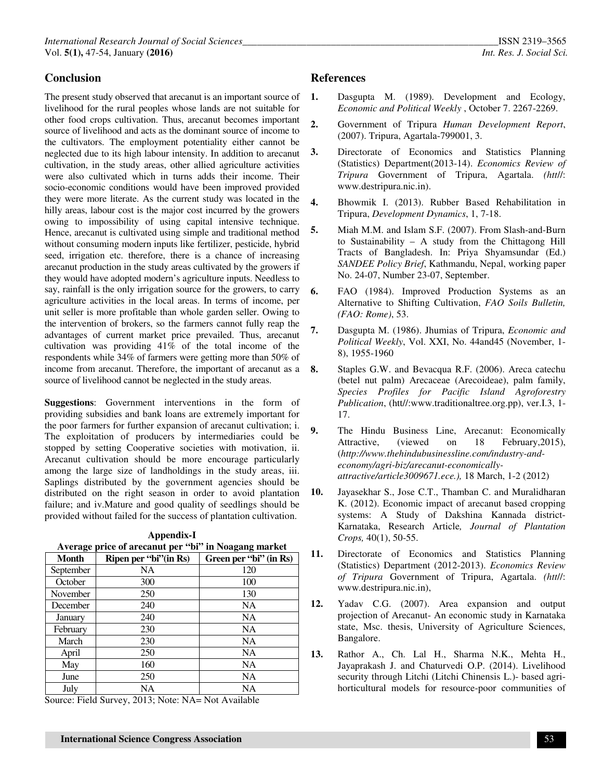## **Conclusion**

The present study observed that arecanut is an important source of livelihood for the rural peoples whose lands are not suitable for other food crops cultivation. Thus, arecanut becomes important source of livelihood and acts as the dominant source of income to the cultivators. The employment potentiality either cannot be neglected due to its high labour intensity. In addition to arecanut cultivation, in the study areas, other allied agriculture activities were also cultivated which in turns adds their income. Their socio-economic conditions would have been improved provided they were more literate. As the current study was located in the hilly areas, labour cost is the major cost incurred by the growers owing to impossibility of using capital intensive technique. Hence, arecanut is cultivated using simple and traditional method without consuming modern inputs like fertilizer, pesticide, hybrid seed, irrigation etc. therefore, there is a chance of increasing arecanut production in the study areas cultivated by the growers if they would have adopted modern's agriculture inputs. Needless to say, rainfall is the only irrigation source for the growers, to carry agriculture activities in the local areas. In terms of income, per unit seller is more profitable than whole garden seller. Owing to the intervention of brokers, so the farmers cannot fully reap the advantages of current market price prevailed. Thus, arecanut cultivation was providing 41% of the total income of the respondents while 34% of farmers were getting more than 50% of income from arecanut. Therefore, the important of arecanut as a 8. source of livelihood cannot be neglected in the study areas.

**Suggestions**: Government interventions in the form of providing subsidies and bank loans are extremely important for the poor farmers for further expansion of arecanut cultivation; i. The exploitation of producers by intermediaries could be stopped by setting Cooperative societies with motivation, ii. Arecanut cultivation should be more encourage particularly among the large size of landholdings in the study areas, iii. Saplings distributed by the government agencies should be distributed on the right season in order to avoid plantation failure; and iv.Mature and good quality of seedlings should be provided without failed for the success of plantation cultivation.

**Appendix-I** 

| Average price of arecanut per "bi" in Noagang market |                        |                         |  |
|------------------------------------------------------|------------------------|-------------------------|--|
| <b>Month</b>                                         | Ripen per "bi" (in Rs) | Green per 'bi'' (in Rs) |  |
| September                                            | NA                     | 120                     |  |
| October                                              | 300                    | 100                     |  |
| November                                             | 250                    | 130                     |  |
| December                                             | 240                    | NA.                     |  |
| January                                              | 240                    | <b>NA</b>               |  |
| February                                             | 230                    | NA.                     |  |
| March                                                | 230                    | NA                      |  |
| April                                                | 250                    | <b>NA</b>               |  |
| May                                                  | 160                    | <b>NA</b>               |  |
| June                                                 | 250                    | NA                      |  |
| July                                                 | NA                     | NA                      |  |

Source: Field Survey, 2013; Note: NA= Not Available

## **References**

- **1.** Dasgupta M. (1989). Development and Ecology, *Economic and Political Weekly* , October 7. 2267-2269.
- **2.** Government of Tripura *Human Development Report*, (2007). Tripura, Agartala-799001, 3.
- **3.** Directorate of Economics and Statistics Planning (Statistics) Department(2013-14). *Economics Review of Tripura* Government of Tripura, Agartala. *(htt*//: www.destripura.nic.in).
- **4.** Bhowmik I. (2013). Rubber Based Rehabilitation in Tripura, *Development Dynamics*, 1, 7-18.
- **5.** Miah M.M. and Islam S.F. (2007). From Slash-and-Burn to Sustainability – A study from the Chittagong Hill Tracts of Bangladesh. In: Priya Shyamsundar (Ed.) *SANDEE Policy Brief*, Kathmandu, Nepal, working paper No. 24-07, Number 23-07, September.
- **6.** FAO (1984). Improved Production Systems as an Alternative to Shifting Cultivation, *FAO Soils Bulletin, (FAO: Rome)*, 53.
- **7.** Dasgupta M. (1986). Jhumias of Tripura, *Economic and Political Weekly*, Vol. XXI, No. 44and45 (November, 1- 8), 1955-1960
- **8.** Staples G.W. and Bevacqua R.F. (2006). Areca catechu (betel nut palm) Arecaceae (Arecoideae), palm family, *Species Profiles for Pacific Island Agroforestry Publication*, (htt//:www.traditionaltree.org.pp), ver.I.3, 1- 17.
- **9.** The Hindu Business Line, Arecanut: Economically Attractive, (viewed on 18 February,2015), (*http://www.thehindubusinessline.com/industry-andeconomy/agri-biz/arecanut-economicallyattractive/article3009671.ece.),* 18 March, 1-2 (2012)
- **10.** Jayasekhar S., Jose C.T., Thamban C. and Muralidharan K. (2012). Economic impact of arecanut based cropping systems: A Study of Dakshina Kannada district-Karnataka, Research Article*, Journal of Plantation Crops,* 40(1), 50-55.
- **11.** Directorate of Economics and Statistics Planning (Statistics) Department (2012-2013). *Economics Review of Tripura* Government of Tripura, Agartala. *(htt*//: www.destripura.nic.in),
- **12.** Yadav C.G. (2007). Area expansion and output projection of Arecanut- An economic study in Karnataka state, Msc. thesis, University of Agriculture Sciences, Bangalore.
- **13.** Rathor A., Ch. Lal H., Sharma N.K., Mehta H., Jayaprakash J. and Chaturvedi O.P. (2014). Livelihood security through Litchi (Litchi Chinensis L.)- based agrihorticultural models for resource-poor communities of